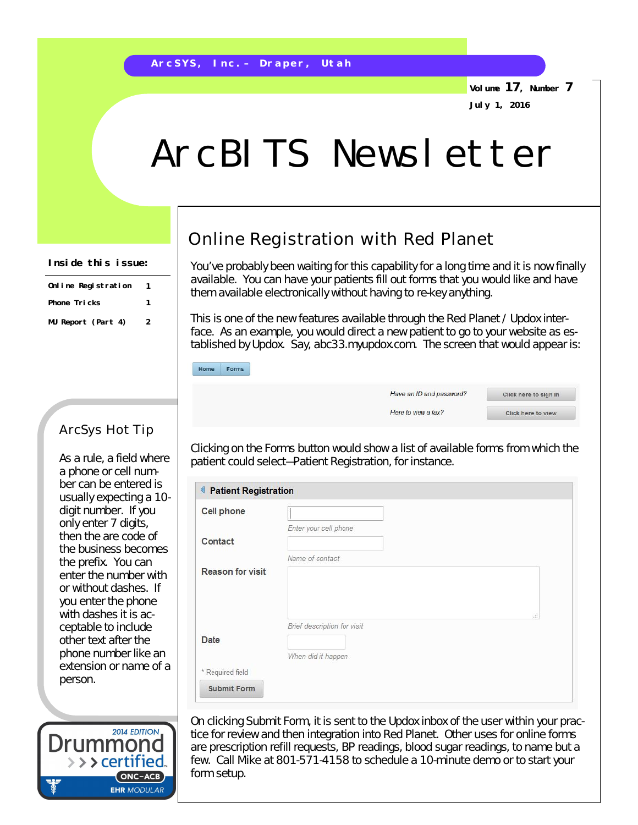**Volume 17, Number 7 July 1, 2016**

## ArcBITS Newsletter

## **Inside this issue:**

| Online Registration | 1 |
|---------------------|---|
| Phone Tricks        | 1 |
| MU Report (Part 4)  | 2 |

ArcSys Hot Tip

As a rule, a field where a phone or cell number can be entered is usually expecting a 10 digit number. If you only enter 7 digits, then the are code of the business becomes the prefix. You can enter the number with or without dashes. If you enter the phone with dashes it is acceptable to include other text after the phone number like an extension or name of a

## Online Registration with Red Planet

You've probably been waiting for this capability for a long time and it is now finally available. You can have your patients fill out forms that you would like and have them available electronically without having to re-key anything.

This is one of the new features available through the Red Planet / Updox interface. As an example, you would direct a new patient to go to your website as established by Updox. Say, abc33.myupdox.com. The screen that would appear is:

| Home | Forms |
|------|-------|
|      |       |

| Have an ID and password? |  |
|--------------------------|--|
| Here to view a fax?      |  |

Click here to sign in Click here to view

Clicking on the Forms button would show a list of available forms from which the patient could select—Patient Registration, for instance.

| <b>Cell phone</b>       |                             |     |
|-------------------------|-----------------------------|-----|
|                         | Enter your cell phone       |     |
| Contact                 |                             |     |
|                         | Name of contact             |     |
| <b>Reason for visit</b> |                             |     |
|                         |                             |     |
|                         |                             |     |
|                         |                             | ud. |
| Date                    | Brief description for visit |     |
|                         |                             |     |
|                         | When did it happen          |     |
| * Required field        |                             |     |



person.

On clicking Submit Form, it is sent to the Updox inbox of the user within your practice for review and then integration into Red Planet. Other uses for online forms are prescription refill requests, BP readings, blood sugar readings, to name but a few. Call Mike at 801-571-4158 to schedule a 10-minute demo or to start your form setup.